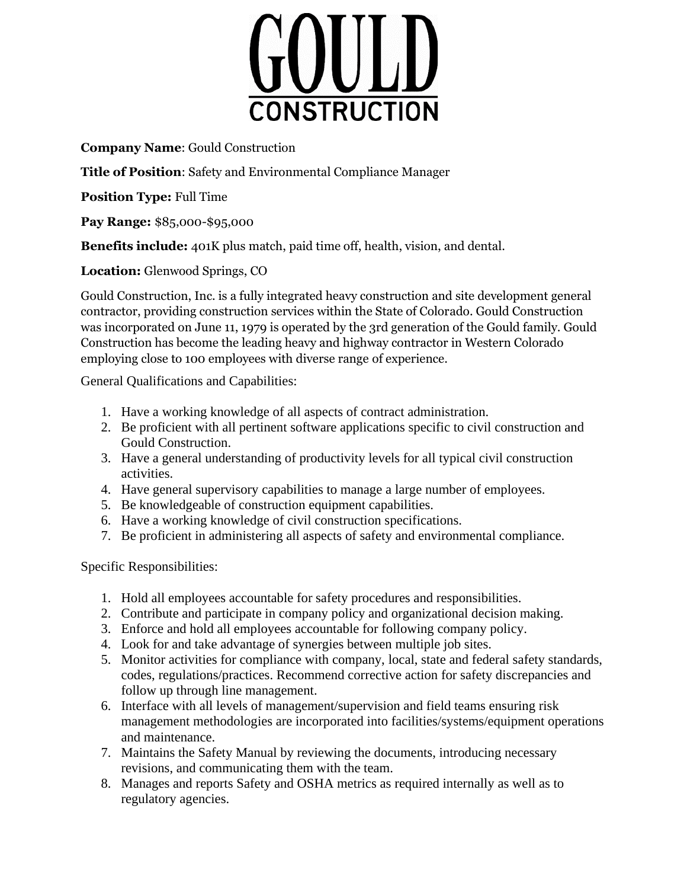

**Company Name**: Gould Construction

**Title of Position**: Safety and Environmental Compliance Manager

**Position Type:** Full Time

**Pay Range:** \$85,000-\$95,000

**Benefits include:** 401K plus match, paid time off, health, vision, and dental.

**Location:** Glenwood Springs, CO

Gould Construction, Inc. is a fully integrated heavy construction and site development general contractor, providing construction services within the State of Colorado. Gould Construction was incorporated on June 11, 1979 is operated by the 3rd generation of the Gould family. Gould Construction has become the leading heavy and highway contractor in Western Colorado employing close to 100 employees with diverse range of experience.

General Qualifications and Capabilities:

- 1. Have a working knowledge of all aspects of contract administration.
- 2. Be proficient with all pertinent software applications specific to civil construction and Gould Construction.
- 3. Have a general understanding of productivity levels for all typical civil construction activities.
- 4. Have general supervisory capabilities to manage a large number of employees.
- 5. Be knowledgeable of construction equipment capabilities.
- 6. Have a working knowledge of civil construction specifications.
- 7. Be proficient in administering all aspects of safety and environmental compliance.

Specific Responsibilities:

- 1. Hold all employees accountable for safety procedures and responsibilities.
- 2. Contribute and participate in company policy and organizational decision making.
- 3. Enforce and hold all employees accountable for following company policy.
- 4. Look for and take advantage of synergies between multiple job sites.
- 5. Monitor activities for compliance with company, local, state and federal safety standards, codes, regulations/practices. Recommend corrective action for safety discrepancies and follow up through line management.
- 6. Interface with all levels of management/supervision and field teams ensuring risk management methodologies are incorporated into facilities/systems/equipment operations and maintenance.
- 7. Maintains the Safety Manual by reviewing the documents, introducing necessary revisions, and communicating them with the team.
- 8. Manages and reports Safety and OSHA metrics as required internally as well as to regulatory agencies.